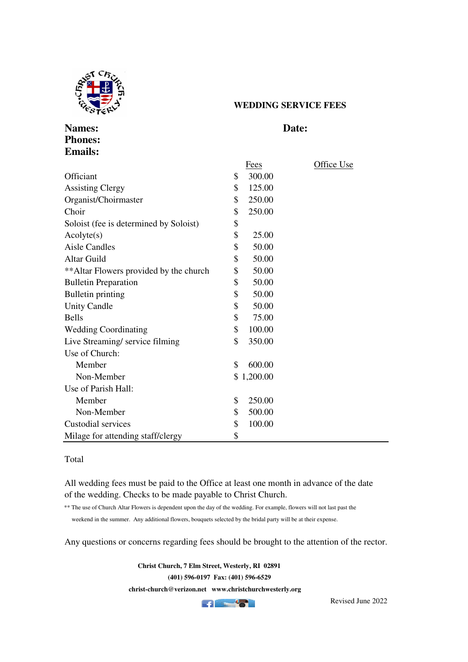

**Phones: Emails:**

## **WEDDING SERVICE FEES**

## **Names:** Date:

|                                         | <b>Fees</b>  | Office Use |
|-----------------------------------------|--------------|------------|
| Officiant                               | \$<br>300.00 |            |
| <b>Assisting Clergy</b>                 | \$<br>125.00 |            |
| Organist/Choirmaster                    | \$<br>250.00 |            |
| Choir                                   | \$<br>250.00 |            |
| Soloist (fee is determined by Soloist)  | \$           |            |
| Acolyte(s)                              | \$<br>25.00  |            |
| <b>Aisle Candles</b>                    | \$<br>50.00  |            |
| <b>Altar Guild</b>                      | \$<br>50.00  |            |
| ** Altar Flowers provided by the church | \$<br>50.00  |            |
| <b>Bulletin Preparation</b>             | \$<br>50.00  |            |
| <b>Bulletin printing</b>                | \$<br>50.00  |            |
| <b>Unity Candle</b>                     | \$<br>50.00  |            |
| <b>Bells</b>                            | \$<br>75.00  |            |
| <b>Wedding Coordinating</b>             | \$<br>100.00 |            |
| Live Streaming/service filming          | \$<br>350.00 |            |
| Use of Church:                          |              |            |
| Member                                  | \$<br>600.00 |            |
| Non-Member                              | \$1,200.00   |            |
| Use of Parish Hall:                     |              |            |
| Member                                  | \$<br>250.00 |            |
| Non-Member                              | \$<br>500.00 |            |
| Custodial services                      | \$<br>100.00 |            |
| Milage for attending staff/clergy       | \$           |            |

## Total

All wedding fees must be paid to the Office at least one month in advance of the date of the wedding. Checks to be made payable to Christ Church.

\*\* The use of Church Altar Flowers is dependent upon the day of the wedding. For example, flowers will not last past the weekend in the summer. Any additional flowers, bouquets selected by the bridal party will be at their expense.

Any questions or concerns regarding fees should be brought to the attention of the rector.

 **Christ Church, 7 Elm Street, Westerly, RI 02891 (401) 596-0197 Fax: (401) 596-6529 christ-church@verizon.net www.christchurchwesterly.org**



Revised June 2022